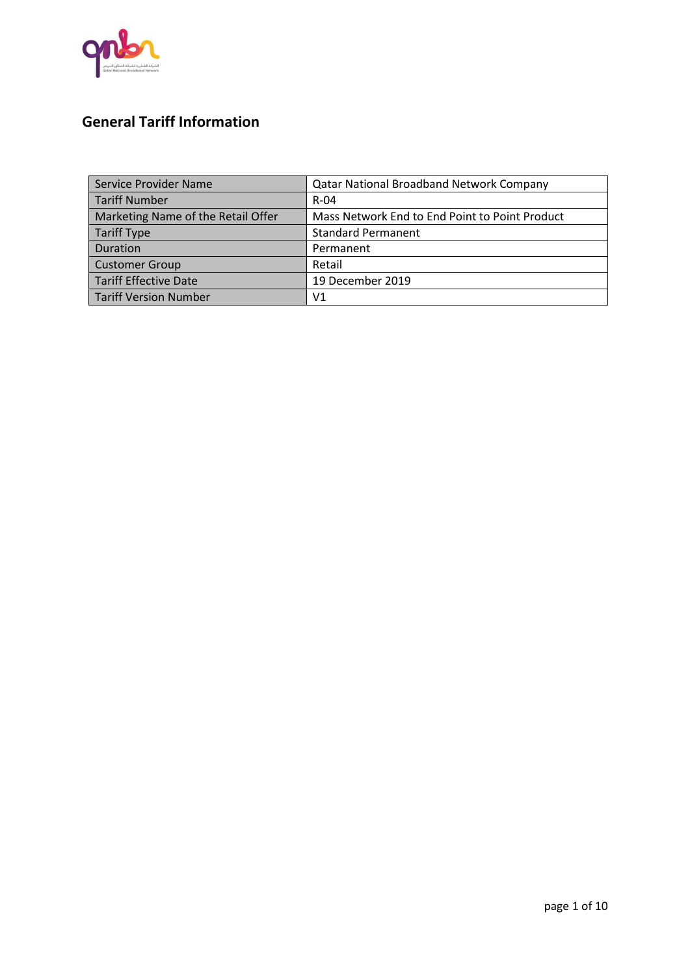

# **General Tariff Information**

| Service Provider Name              | <b>Qatar National Broadband Network Company</b> |
|------------------------------------|-------------------------------------------------|
| Tariff Number                      | $R - 04$                                        |
| Marketing Name of the Retail Offer | Mass Network End to End Point to Point Product  |
| Tariff Type                        | <b>Standard Permanent</b>                       |
| Duration                           | Permanent                                       |
| <b>Customer Group</b>              | Retail                                          |
| Tariff Effective Date              | 19 December 2019                                |
| <b>Tariff Version Number</b>       | V1                                              |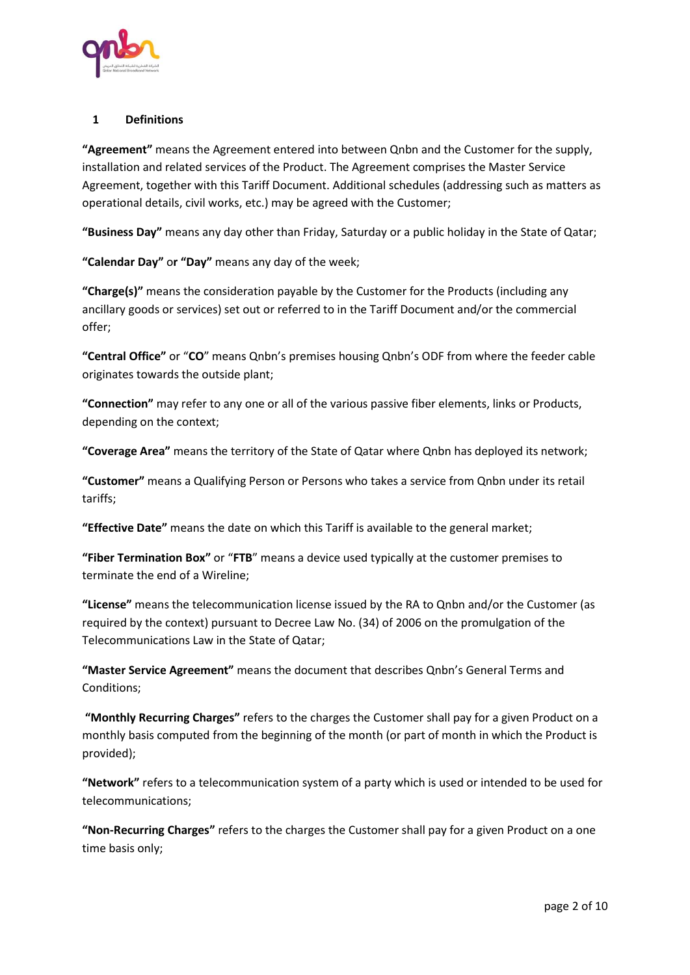

# **1 Definitions**

**"Agreement"** means the Agreement entered into between Qnbn and the Customer for the supply, installation and related services of the Product. The Agreement comprises the Master Service Agreement, together with this Tariff Document. Additional schedules (addressing such as matters as operational details, civil works, etc.) may be agreed with the Customer;

**"Business Day"** means any day other than Friday, Saturday or a public holiday in the State of Qatar;

**"Calendar Day"** o**r "Day"** means any day of the week;

**"Charge(s)"** means the consideration payable by the Customer for the Products (including any ancillary goods or services) set out or referred to in the Tariff Document and/or the commercial offer;

**"Central Office"** or "**CO**" means Qnbn's premises housing Qnbn's ODF from where the feeder cable originates towards the outside plant;

**"Connection"** may refer to any one or all of the various passive fiber elements, links or Products, depending on the context;

**"Coverage Area"** means the territory of the State of Qatar where Qnbn has deployed its network;

**"Customer"** means a Qualifying Person or Persons who takes a service from Qnbn under its retail tariffs;

**"Effective Date"** means the date on which this Tariff is available to the general market;

**"Fiber Termination Box"** or "**FTB**" means a device used typically at the customer premises to terminate the end of a Wireline;

**"License"** means the telecommunication license issued by the RA to Qnbn and/or the Customer (as required by the context) pursuant to Decree Law No. (34) of 2006 on the promulgation of the Telecommunications Law in the State of Qatar;

**"Master Service Agreement"** means the document that describes Qnbn's General Terms and Conditions;

**"Monthly Recurring Charges"** refers to the charges the Customer shall pay for a given Product on a monthly basis computed from the beginning of the month (or part of month in which the Product is provided);

**"Network"** refers to a telecommunication system of a party which is used or intended to be used for telecommunications;

**"Non-Recurring Charges"** refers to the charges the Customer shall pay for a given Product on a one time basis only;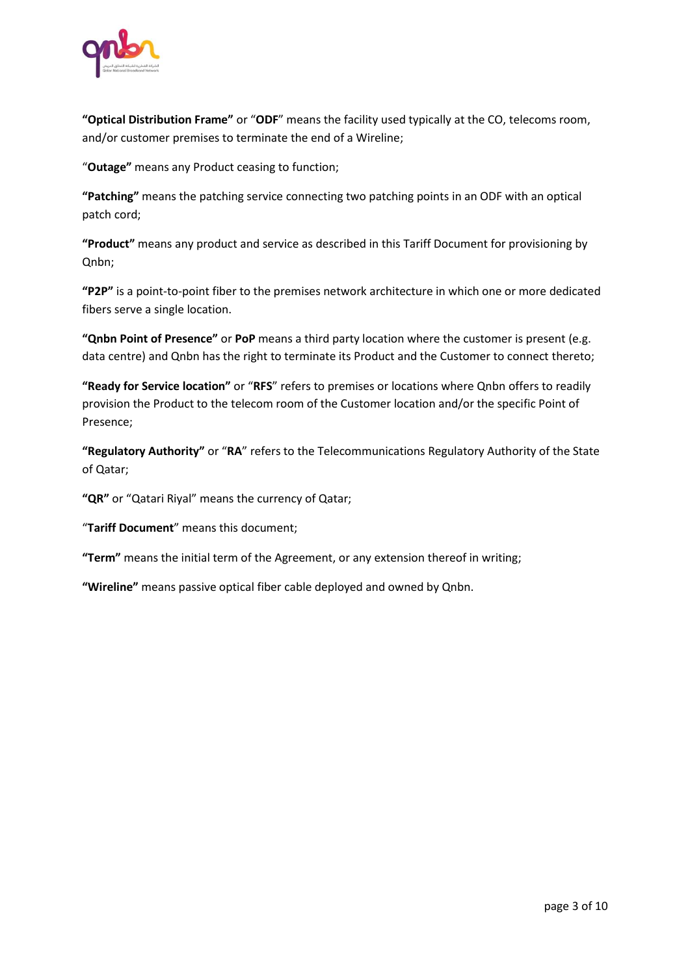

**"Optical Distribution Frame"** or "**ODF**" means the facility used typically at the CO, telecoms room, and/or customer premises to terminate the end of a Wireline;

"**Outage"** means any Product ceasing to function;

**"Patching"** means the patching service connecting two patching points in an ODF with an optical patch cord;

**"Product"** means any product and service as described in this Tariff Document for provisioning by Qnbn;

**"P2P"** is a point-to-point fiber to the premises network architecture in which one or more dedicated fibers serve a single location.

**"Qnbn Point of Presence"** or **PoP** means a third party location where the customer is present (e.g. data centre) and Qnbn has the right to terminate its Product and the Customer to connect thereto;

**"Ready for Service location"** or "**RFS**" refers to premises or locations where Qnbn offers to readily provision the Product to the telecom room of the Customer location and/or the specific Point of Presence;

**"Regulatory Authority"** or "**RA**" refers to the Telecommunications Regulatory Authority of the State of Qatar;

**"QR"** or "Qatari Riyal" means the currency of Qatar;

"**Tariff Document**" means this document;

**"Term"** means the initial term of the Agreement, or any extension thereof in writing;

**"Wireline"** means passive optical fiber cable deployed and owned by Qnbn.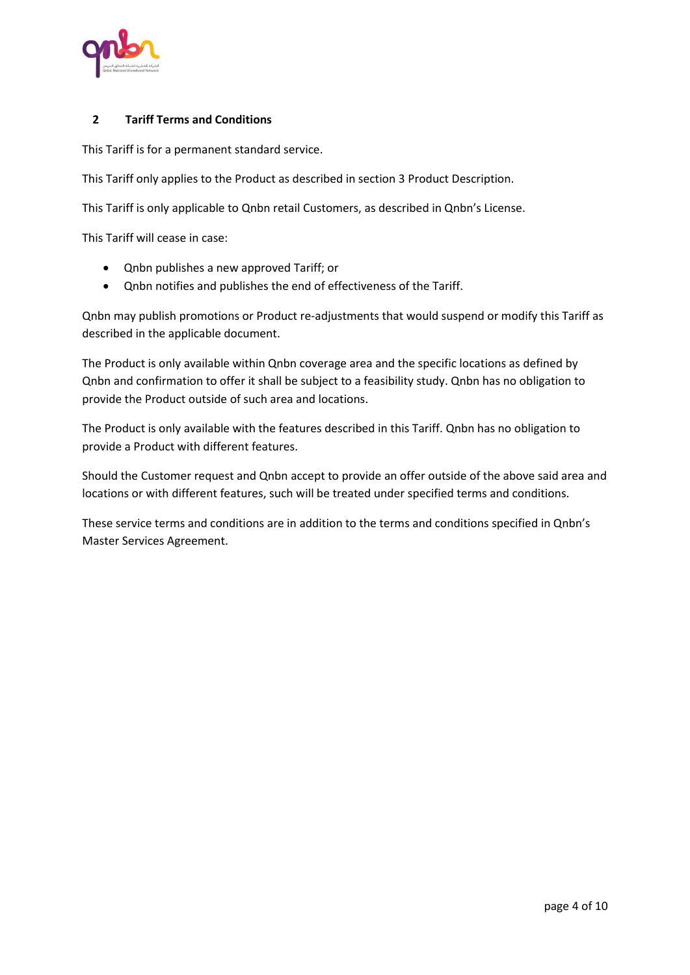

#### **2 Tariff Terms and Conditions**

This Tariff is for a permanent standard service.

This Tariff only applies to the Product as described in section [3](#page-4-0) [Product Description.](#page-4-0)

This Tariff is only applicable to Qnbn retail Customers, as described in Qnbn's License.

This Tariff will cease in case:

- Qnbn publishes a new approved Tariff; or
- Qnbn notifies and publishes the end of effectiveness of the Tariff.

Qnbn may publish promotions or Product re-adjustments that would suspend or modify this Tariff as described in the applicable document.

The Product is only available within Qnbn coverage area and the specific locations as defined by Qnbn and confirmation to offer it shall be subject to a feasibility study. Qnbn has no obligation to provide the Product outside of such area and locations.

The Product is only available with the features described in this Tariff. Qnbn has no obligation to provide a Product with different features.

Should the Customer request and Qnbn accept to provide an offer outside of the above said area and locations or with different features, such will be treated under specified terms and conditions.

These service terms and conditions are in addition to the terms and conditions specified in Qnbn's Master Services Agreement.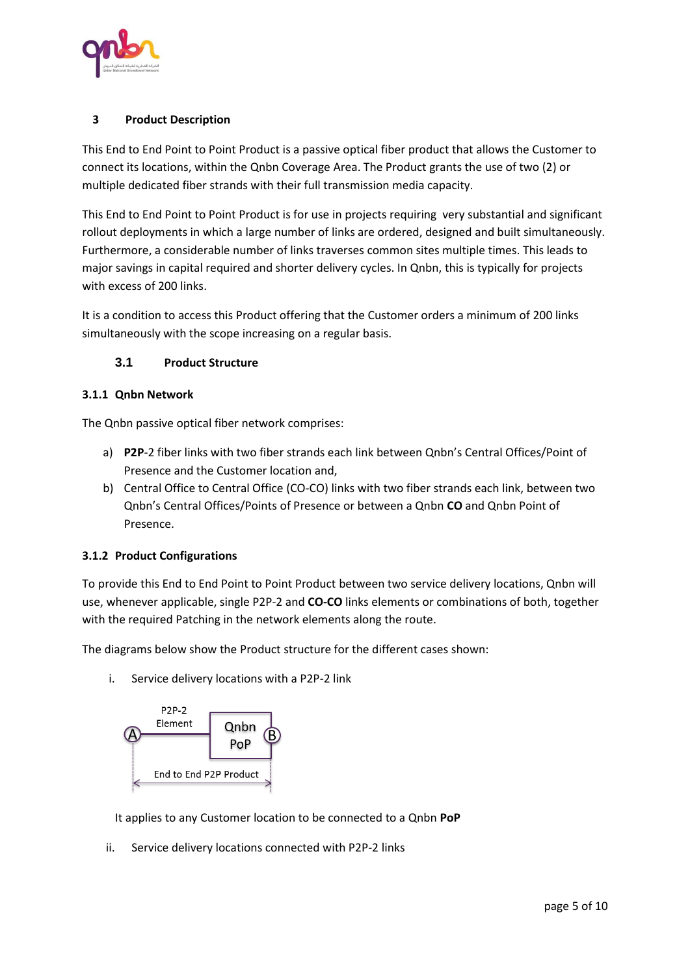

# <span id="page-4-0"></span>**3 Product Description**

This End to End Point to Point Product is a passive optical fiber product that allows the Customer to connect its locations, within the Qnbn Coverage Area. The Product grants the use of two (2) or multiple dedicated fiber strands with their full transmission media capacity.

This End to End Point to Point Product is for use in projects requiring very substantial and significant rollout deployments in which a large number of links are ordered, designed and built simultaneously. Furthermore, a considerable number of links traverses common sites multiple times. This leads to major savings in capital required and shorter delivery cycles. In Qnbn, this is typically for projects with excess of 200 links.

It is a condition to access this Product offering that the Customer orders a minimum of 200 links simultaneously with the scope increasing on a regular basis.

#### **3.1 Product Structure**

#### **3.1.1 Qnbn Network**

The Qnbn passive optical fiber network comprises:

- a) **P2P**-2 fiber links with two fiber strands each link between Qnbn's Central Offices/Point of Presence and the Customer location and,
- b) Central Office to Central Office (CO-CO) links with two fiber strands each link, between two Qnbn's Central Offices/Points of Presence or between a Qnbn **CO** and Qnbn Point of Presence.

#### **3.1.2 Product Configurations**

To provide this End to End Point to Point Product between two service delivery locations, Qnbn will use, whenever applicable, single P2P-2 and **CO-CO** links elements or combinations of both, together with the required Patching in the network elements along the route.

The diagrams below show the Product structure for the different cases shown:

i. Service delivery locations with a P2P-2 link



It applies to any Customer location to be connected to a Qnbn **PoP**

ii. Service delivery locations connected with P2P-2 links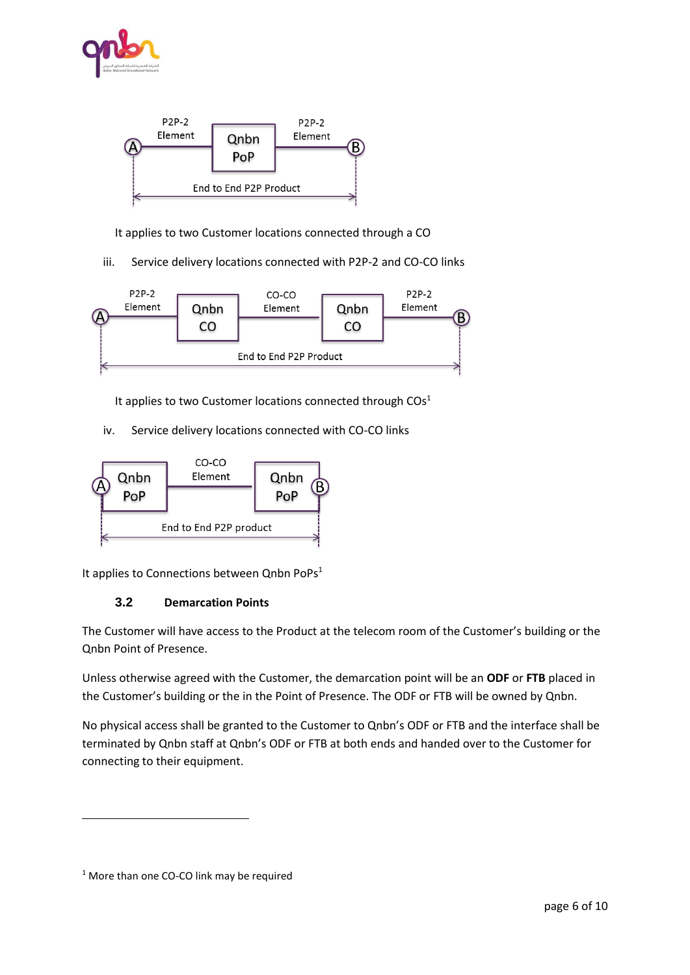



It applies to two Customer locations connected through a CO

iii. Service delivery locations connected with P2P-2 and CO-CO links



It applies to two Customer locations connected through  $COS<sup>1</sup>$ 

iv. Service delivery locations connected with CO-CO links



It applies to Connections between  $Q$ nbn PoPs $1$ 

# **3.2 Demarcation Points**

The Customer will have access to the Product at the telecom room of the Customer's building or the Qnbn Point of Presence.

Unless otherwise agreed with the Customer, the demarcation point will be an **ODF** or **FTB** placed in the Customer's building or the in the Point of Presence. The ODF or FTB will be owned by Qnbn.

No physical access shall be granted to the Customer to Qnbn's ODF or FTB and the interface shall be terminated by Qnbn staff at Qnbn's ODF or FTB at both ends and handed over to the Customer for connecting to their equipment.

 $\overline{\phantom{a}}$ 

<sup>&</sup>lt;sup>1</sup> More than one CO-CO link may be required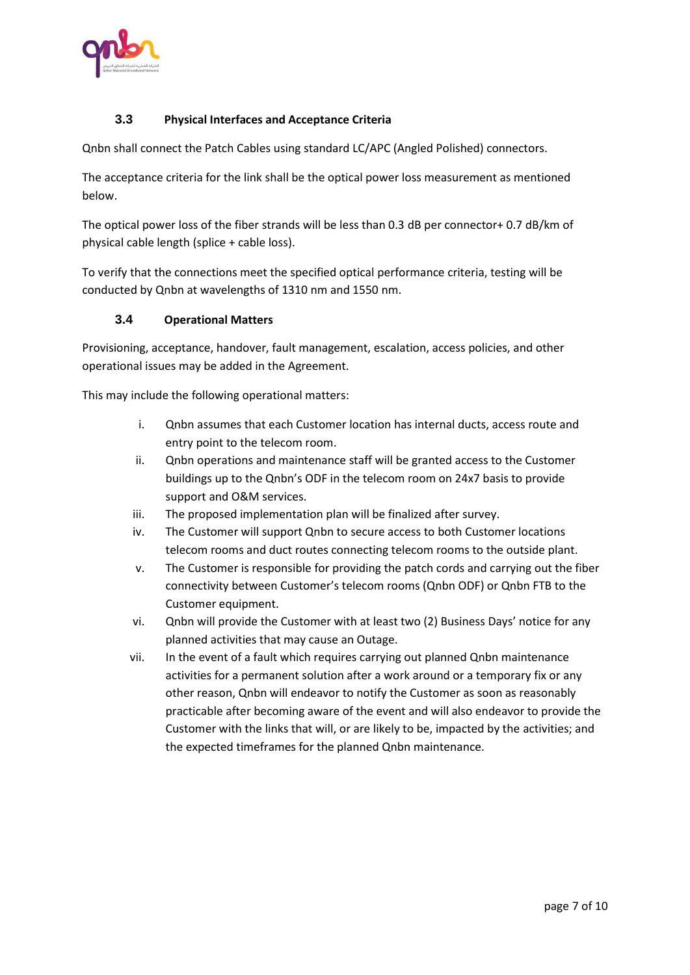

# **3.3 Physical Interfaces and Acceptance Criteria**

Qnbn shall connect the Patch Cables using standard LC/APC (Angled Polished) connectors.

The acceptance criteria for the link shall be the optical power loss measurement as mentioned below.

The optical power loss of the fiber strands will be less than 0.3 dB per connector+ 0.7 dB/km of physical cable length (splice + cable loss).

To verify that the connections meet the specified optical performance criteria, testing will be conducted by Qnbn at wavelengths of 1310 nm and 1550 nm.

#### **3.4 Operational Matters**

Provisioning, acceptance, handover, fault management, escalation, access policies, and other operational issues may be added in the Agreement.

This may include the following operational matters:

- i. Qnbn assumes that each Customer location has internal ducts, access route and entry point to the telecom room.
- ii. Qnbn operations and maintenance staff will be granted access to the Customer buildings up to the Qnbn's ODF in the telecom room on 24x7 basis to provide support and O&M services.
- iii. The proposed implementation plan will be finalized after survey.
- iv. The Customer will support Qnbn to secure access to both Customer locations telecom rooms and duct routes connecting telecom rooms to the outside plant.
- v. The Customer is responsible for providing the patch cords and carrying out the fiber connectivity between Customer's telecom rooms (Qnbn ODF) or Qnbn FTB to the Customer equipment.
- vi. Qnbn will provide the Customer with at least two (2) Business Days' notice for any planned activities that may cause an Outage.
- vii. In the event of a fault which requires carrying out planned Qnbn maintenance activities for a permanent solution after a work around or a temporary fix or any other reason, Qnbn will endeavor to notify the Customer as soon as reasonably practicable after becoming aware of the event and will also endeavor to provide the Customer with the links that will, or are likely to be, impacted by the activities; and the expected timeframes for the planned Qnbn maintenance.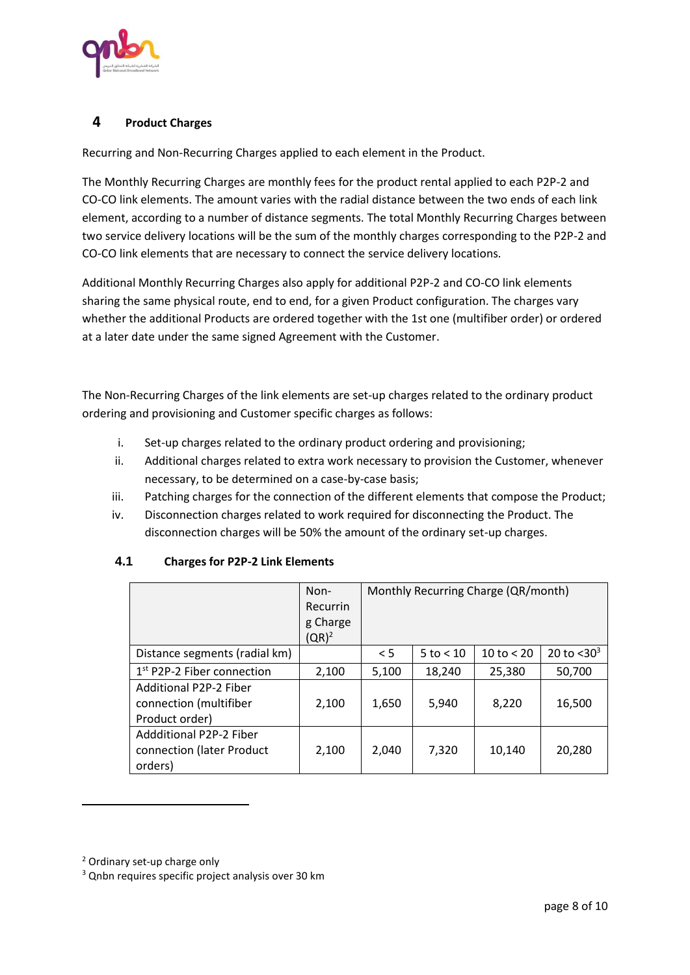

# **4 Product Charges**

Recurring and Non-Recurring Charges applied to each element in the Product.

The Monthly Recurring Charges are monthly fees for the product rental applied to each P2P-2 and CO-CO link elements. The amount varies with the radial distance between the two ends of each link element, according to a number of distance segments. The total Monthly Recurring Charges between two service delivery locations will be the sum of the monthly charges corresponding to the P2P-2 and CO-CO link elements that are necessary to connect the service delivery locations.

Additional Monthly Recurring Charges also apply for additional P2P-2 and CO-CO link elements sharing the same physical route, end to end, for a given Product configuration. The charges vary whether the additional Products are ordered together with the 1st one (multifiber order) or ordered at a later date under the same signed Agreement with the Customer.

The Non-Recurring Charges of the link elements are set-up charges related to the ordinary product ordering and provisioning and Customer specific charges as follows:

- i. Set-up charges related to the ordinary product ordering and provisioning;
- ii. Additional charges related to extra work necessary to provision the Customer, whenever necessary, to be determined on a case-by-case basis;
- iii. Patching charges for the connection of the different elements that compose the Product;
- iv. Disconnection charges related to work required for disconnecting the Product. The disconnection charges will be 50% the amount of the ordinary set-up charges.

|                                        | Non-            | Monthly Recurring Charge (QR/month) |               |              |                  |
|----------------------------------------|-----------------|-------------------------------------|---------------|--------------|------------------|
|                                        | <b>Recurrin</b> |                                     |               |              |                  |
|                                        | g Charge        |                                     |               |              |                  |
|                                        | $(QR)^2$        |                                     |               |              |                  |
| Distance segments (radial km)          |                 | < 5                                 | $5$ to $< 10$ | 10 to $< 20$ | 20 to $<$ 30 $3$ |
| 1 <sup>st</sup> P2P-2 Fiber connection | 2,100           | 5,100                               | 18,240        | 25,380       | 50,700           |
| <b>Additional P2P-2 Fiber</b>          |                 |                                     |               |              |                  |
| connection (multifiber                 | 2,100           | 1,650                               | 5,940         | 8,220        | 16,500           |
| Product order)                         |                 |                                     |               |              |                  |
| <b>Addditional P2P-2 Fiber</b>         |                 |                                     |               |              |                  |
| connection (later Product              | 2,100           | 2,040                               | 7,320         | 10,140       | 20,280           |
| orders)                                |                 |                                     |               |              |                  |

# **4.1 Charges for P2P-2 Link Elements**

 $\overline{\phantom{a}}$ 

<sup>2</sup> Ordinary set-up charge only

<sup>&</sup>lt;sup>3</sup> Qnbn requires specific project analysis over 30 km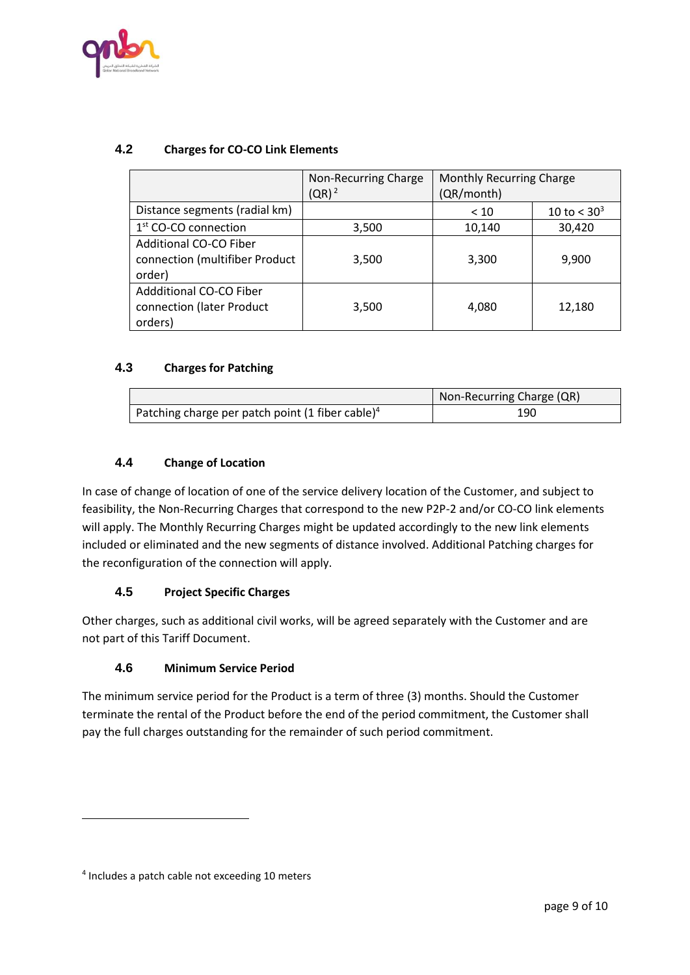

# **4.2 Charges for CO-CO Link Elements**

|                                                                    | Non-Recurring Charge<br>$(QR)^2$ | <b>Monthly Recurring Charge</b><br>(QR/month) |                           |
|--------------------------------------------------------------------|----------------------------------|-----------------------------------------------|---------------------------|
| Distance segments (radial km)                                      |                                  | < 10                                          | 10 to $<$ 30 <sup>3</sup> |
| $1st$ CO-CO connection                                             | 3,500                            | 10,140                                        | 30,420                    |
| Additional CO-CO Fiber<br>connection (multifiber Product<br>order) | 3,500                            | 3,300                                         | 9,900                     |
| Addditional CO-CO Fiber<br>connection (later Product<br>orders)    | 3,500                            | 4,080                                         | 12,180                    |

#### **4.3 Charges for Patching**

|                                                              | Non-Recurring Charge (QR) |  |
|--------------------------------------------------------------|---------------------------|--|
| Patching charge per patch point (1 fiber cable) <sup>4</sup> | 190                       |  |

# **4.4 Change of Location**

In case of change of location of one of the service delivery location of the Customer, and subject to feasibility, the Non-Recurring Charges that correspond to the new P2P-2 and/or CO-CO link elements will apply. The Monthly Recurring Charges might be updated accordingly to the new link elements included or eliminated and the new segments of distance involved. Additional Patching charges for the reconfiguration of the connection will apply.

# **4.5 Project Specific Charges**

Other charges, such as additional civil works, will be agreed separately with the Customer and are not part of this Tariff Document.

# **4.6 Minimum Service Period**

The minimum service period for the Product is a term of three (3) months. Should the Customer terminate the rental of the Product before the end of the period commitment, the Customer shall pay the full charges outstanding for the remainder of such period commitment.

 $\overline{\phantom{a}}$ 

<sup>4</sup> Includes a patch cable not exceeding 10 meters